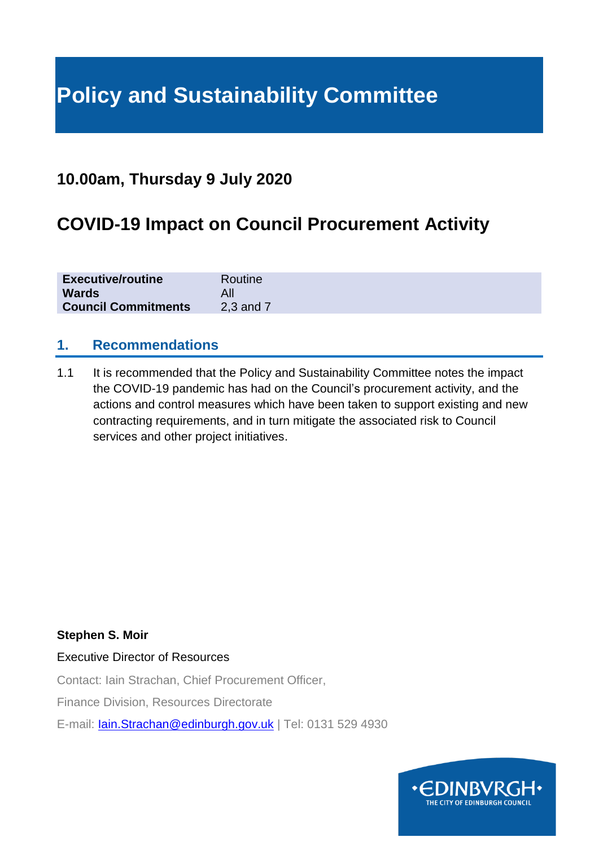# **Policy and Sustainability Committee**

## **10.00am, Thursday 9 July 2020**

# **COVID-19 Impact on Council Procurement Activity**

| <b>Executive/routine</b>   | Routine   |
|----------------------------|-----------|
| <b>Wards</b>               |           |
| <b>Council Commitments</b> | 2,3 and 7 |

#### **1. Recommendations**

1.1 It is recommended that the Policy and Sustainability Committee notes the impact the COVID-19 pandemic has had on the Council's procurement activity, and the actions and control measures which have been taken to support existing and new contracting requirements, and in turn mitigate the associated risk to Council services and other project initiatives.

#### **Stephen S. Moir**

#### Executive Director of Resources

Contact: Iain Strachan, Chief Procurement Officer,

Finance Division, Resources Directorate

E-mail: [Iain.Strachan@edinburgh.gov.uk](mailto:Iain.Strachan@edinburgh.gov.uk) | Tel: 0131 529 4930

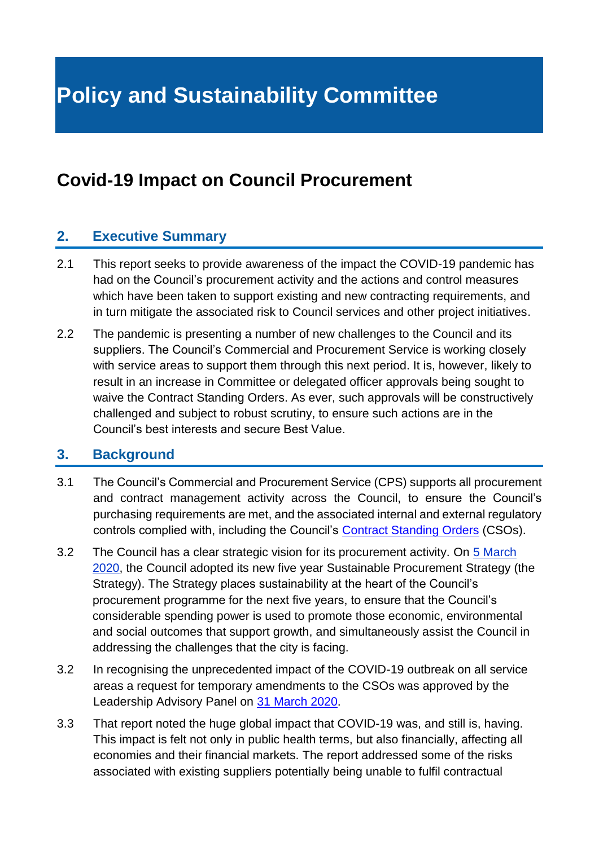# **Policy and Sustainability Committee**

## **Covid-19 Impact on Council Procurement**

#### **2. Executive Summary**

- 2.1 This report seeks to provide awareness of the impact the COVID-19 pandemic has had on the Council's procurement activity and the actions and control measures which have been taken to support existing and new contracting requirements, and in turn mitigate the associated risk to Council services and other project initiatives.
- 2.2 The pandemic is presenting a number of new challenges to the Council and its suppliers. The Council's Commercial and Procurement Service is working closely with service areas to support them through this next period. It is, however, likely to result in an increase in Committee or delegated officer approvals being sought to waive the Contract Standing Orders. As ever, such approvals will be constructively challenged and subject to robust scrutiny, to ensure such actions are in the Council's best interests and secure Best Value.

#### **3. Background**

- 3.1 The Council's Commercial and Procurement Service (CPS) supports all procurement and contract management activity across the Council, to ensure the Council's purchasing requirements are met, and the associated internal and external regulatory controls complied with, including the Council's [Contract Standing Orders](https://democracy.edinburgh.gov.uk/documents/s5776/Contract%20Standing%20Orders%20-%20June%202019.pdf) (CSOs).
- 3.2 The Council has a clear strategic vision for its procurement activity. On [5 March](https://democracy.edinburgh.gov.uk/documents/s14802/7.7%20-%20Sustainable%20Procurement%20Strategy.pdf)  [2020,](https://democracy.edinburgh.gov.uk/documents/s14802/7.7%20-%20Sustainable%20Procurement%20Strategy.pdf) the Council adopted its new five year Sustainable Procurement Strategy (the Strategy). The Strategy places sustainability at the heart of the Council's procurement programme for the next five years, to ensure that the Council's considerable spending power is used to promote those economic, environmental and social outcomes that support growth, and simultaneously assist the Council in addressing the challenges that the city is facing.
- 3.2 In recognising the unprecedented impact of the COVID-19 outbreak on all service areas a request for temporary amendments to the CSOs was approved by the Leadership Advisory Panel on [31 March 2020.](https://democracy.edinburgh.gov.uk/documents/s23773/Item%207.11%20-%20Temporary%20Changes%20to%20CSOs.pdf)
- 3.3 That report noted the huge global impact that COVID-19 was, and still is, having. This impact is felt not only in public health terms, but also financially, affecting all economies and their financial markets. The report addressed some of the risks associated with existing suppliers potentially being unable to fulfil contractual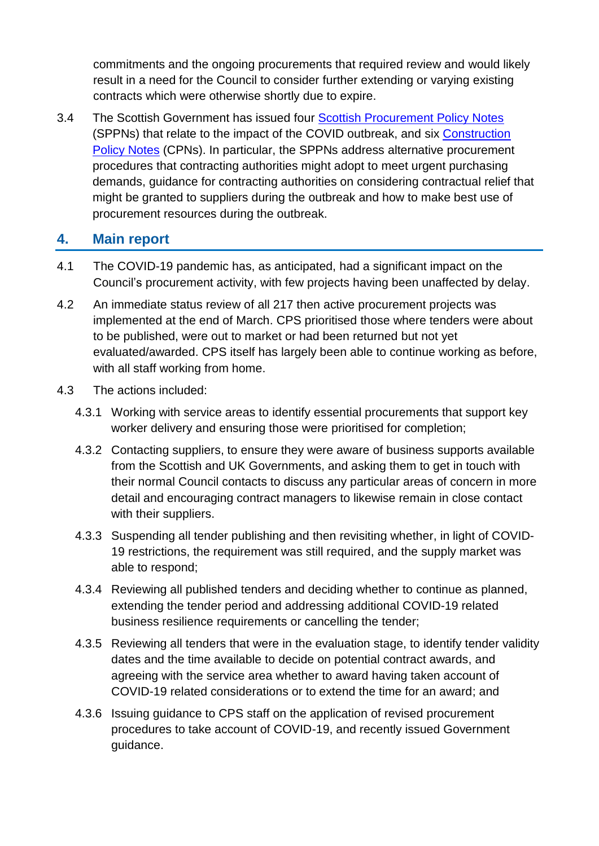commitments and the ongoing procurements that required review and would likely result in a need for the Council to consider further extending or varying existing contracts which were otherwise shortly due to expire.

3.4 The Scottish Government has issued four [Scottish Procurement Policy Notes](https://www.gov.scot/collections/scottish-procurement-policy-notes-sppns/) (SPPNs) that relate to the impact of the COVID outbreak, and six [Construction](https://www.gov.scot/publications/construction-policy-notes/)  [Policy Notes](https://www.gov.scot/publications/construction-policy-notes/) (CPNs). In particular, the SPPNs address alternative procurement procedures that contracting authorities might adopt to meet urgent purchasing demands, guidance for contracting authorities on considering contractual relief that might be granted to suppliers during the outbreak and how to make best use of procurement resources during the outbreak.

#### **4. Main report**

- 4.1 The COVID-19 pandemic has, as anticipated, had a significant impact on the Council's procurement activity, with few projects having been unaffected by delay.
- 4.2 An immediate status review of all 217 then active procurement projects was implemented at the end of March. CPS prioritised those where tenders were about to be published, were out to market or had been returned but not yet evaluated/awarded. CPS itself has largely been able to continue working as before, with all staff working from home.
- 4.3 The actions included:
	- 4.3.1 Working with service areas to identify essential procurements that support key worker delivery and ensuring those were prioritised for completion;
	- 4.3.2 Contacting suppliers, to ensure they were aware of business supports available from the Scottish and UK Governments, and asking them to get in touch with their normal Council contacts to discuss any particular areas of concern in more detail and encouraging contract managers to likewise remain in close contact with their suppliers.
	- 4.3.3 Suspending all tender publishing and then revisiting whether, in light of COVID-19 restrictions, the requirement was still required, and the supply market was able to respond;
	- 4.3.4 Reviewing all published tenders and deciding whether to continue as planned, extending the tender period and addressing additional COVID-19 related business resilience requirements or cancelling the tender;
	- 4.3.5 Reviewing all tenders that were in the evaluation stage, to identify tender validity dates and the time available to decide on potential contract awards, and agreeing with the service area whether to award having taken account of COVID-19 related considerations or to extend the time for an award; and
	- 4.3.6 Issuing guidance to CPS staff on the application of revised procurement procedures to take account of COVID-19, and recently issued Government guidance.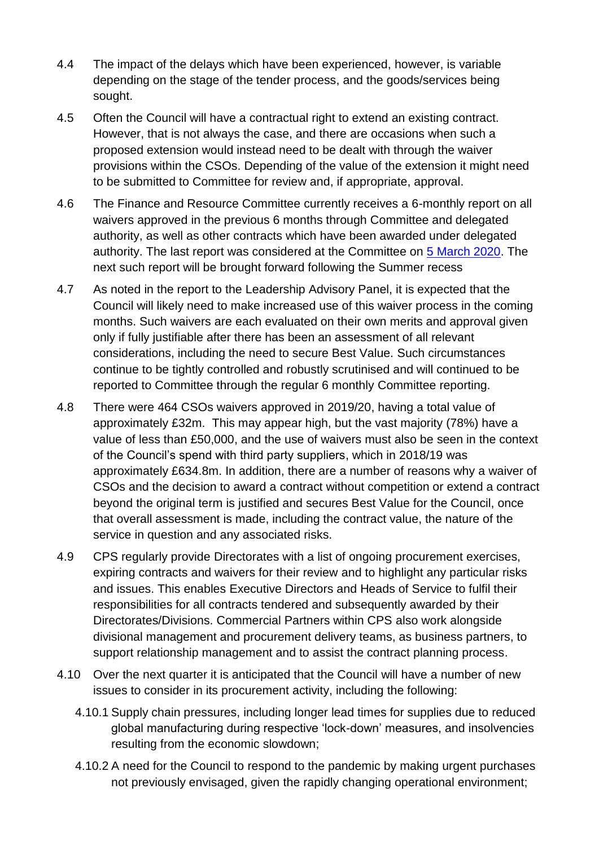- 4.4 The impact of the delays which have been experienced, however, is variable depending on the stage of the tender process, and the goods/services being sought.
- 4.5 Often the Council will have a contractual right to extend an existing contract. However, that is not always the case, and there are occasions when such a proposed extension would instead need to be dealt with through the waiver provisions within the CSOs. Depending of the value of the extension it might need to be submitted to Committee for review and, if appropriate, approval.
- 4.6 The Finance and Resource Committee currently receives a 6-monthly report on all waivers approved in the previous 6 months through Committee and delegated authority, as well as other contracts which have been awarded under delegated authority. The last report was considered at the Committee on [5 March 2020.](https://democracy.edinburgh.gov.uk/documents/s14823/8.1%20-%20Contract%20Award%20and%20Procurement%20Programme%20Update.pdf) The next such report will be brought forward following the Summer recess
- 4.7 As noted in the report to the Leadership Advisory Panel, it is expected that the Council will likely need to make increased use of this waiver process in the coming months. Such waivers are each evaluated on their own merits and approval given only if fully justifiable after there has been an assessment of all relevant considerations, including the need to secure Best Value. Such circumstances continue to be tightly controlled and robustly scrutinised and will continued to be reported to Committee through the regular 6 monthly Committee reporting.
- 4.8 There were 464 CSOs waivers approved in 2019/20, having a total value of approximately £32m. This may appear high, but the vast majority (78%) have a value of less than £50,000, and the use of waivers must also be seen in the context of the Council's spend with third party suppliers, which in 2018/19 was approximately £634.8m. In addition, there are a number of reasons why a waiver of CSOs and the decision to award a contract without competition or extend a contract beyond the original term is justified and secures Best Value for the Council, once that overall assessment is made, including the contract value, the nature of the service in question and any associated risks.
- 4.9 CPS regularly provide Directorates with a list of ongoing procurement exercises, expiring contracts and waivers for their review and to highlight any particular risks and issues. This enables Executive Directors and Heads of Service to fulfil their responsibilities for all contracts tendered and subsequently awarded by their Directorates/Divisions. Commercial Partners within CPS also work alongside divisional management and procurement delivery teams, as business partners, to support relationship management and to assist the contract planning process.
- 4.10 Over the next quarter it is anticipated that the Council will have a number of new issues to consider in its procurement activity, including the following:
	- 4.10.1 Supply chain pressures, including longer lead times for supplies due to reduced global manufacturing during respective 'lock-down' measures, and insolvencies resulting from the economic slowdown;
	- 4.10.2 A need for the Council to respond to the pandemic by making urgent purchases not previously envisaged, given the rapidly changing operational environment;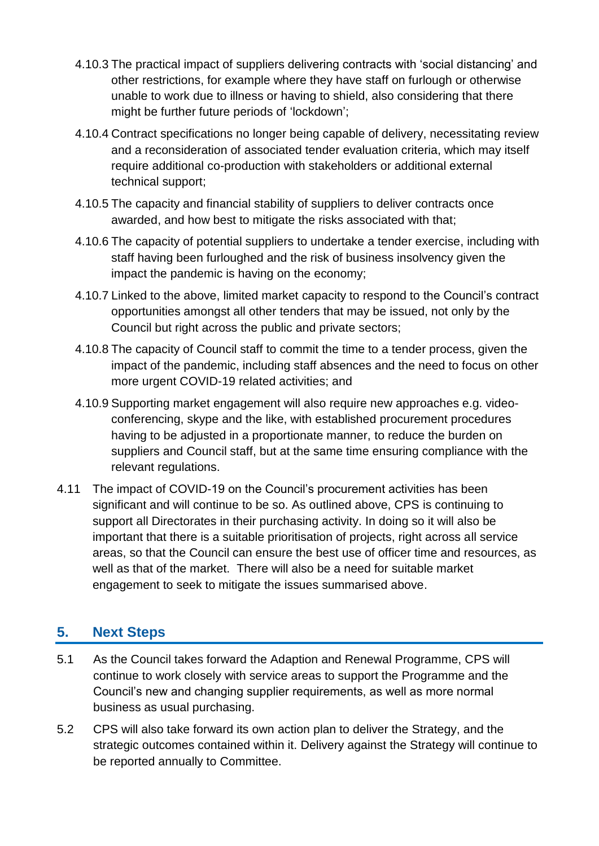- 4.10.3 The practical impact of suppliers delivering contracts with 'social distancing' and other restrictions, for example where they have staff on furlough or otherwise unable to work due to illness or having to shield, also considering that there might be further future periods of 'lockdown';
- 4.10.4 Contract specifications no longer being capable of delivery, necessitating review and a reconsideration of associated tender evaluation criteria, which may itself require additional co-production with stakeholders or additional external technical support;
- 4.10.5 The capacity and financial stability of suppliers to deliver contracts once awarded, and how best to mitigate the risks associated with that;
- 4.10.6 The capacity of potential suppliers to undertake a tender exercise, including with staff having been furloughed and the risk of business insolvency given the impact the pandemic is having on the economy;
- 4.10.7 Linked to the above, limited market capacity to respond to the Council's contract opportunities amongst all other tenders that may be issued, not only by the Council but right across the public and private sectors;
- 4.10.8 The capacity of Council staff to commit the time to a tender process, given the impact of the pandemic, including staff absences and the need to focus on other more urgent COVID-19 related activities; and
- 4.10.9 Supporting market engagement will also require new approaches e.g. videoconferencing, skype and the like, with established procurement procedures having to be adjusted in a proportionate manner, to reduce the burden on suppliers and Council staff, but at the same time ensuring compliance with the relevant regulations.
- 4.11 The impact of COVID-19 on the Council's procurement activities has been significant and will continue to be so. As outlined above, CPS is continuing to support all Directorates in their purchasing activity. In doing so it will also be important that there is a suitable prioritisation of projects, right across all service areas, so that the Council can ensure the best use of officer time and resources, as well as that of the market. There will also be a need for suitable market engagement to seek to mitigate the issues summarised above.

## **5. Next Steps**

- 5.1 As the Council takes forward the Adaption and Renewal Programme, CPS will continue to work closely with service areas to support the Programme and the Council's new and changing supplier requirements, as well as more normal business as usual purchasing.
- 5.2 CPS will also take forward its own action plan to deliver the Strategy, and the strategic outcomes contained within it. Delivery against the Strategy will continue to be reported annually to Committee.